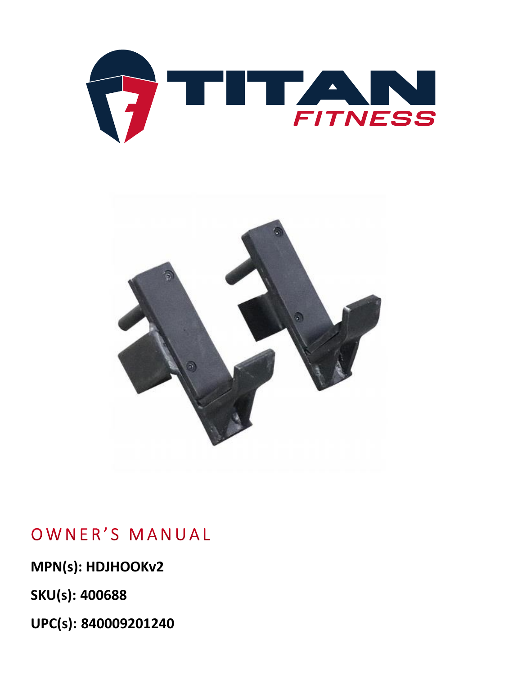



## OWNER'S MANUAL

**MPN(s): HDJHOOKv2**

**SKU(s): 400688**

**UPC(s): 840009201240**